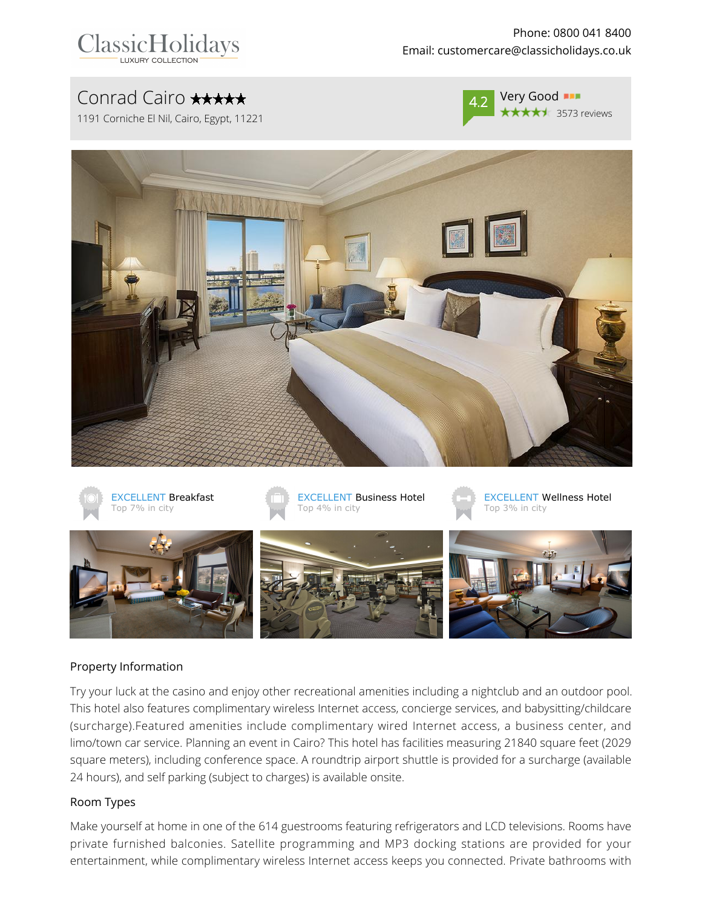| <b>ClassicHolidays</b>   |
|--------------------------|
| <b>LUXURY COLLECTION</b> |

Phone: 0800 041 8400 Email: customercare@classicholidays.co.uk

# Conrad Cairo **\*\*\*\*\***

1191 Corniche El Nil, Cairo, Egypt, 11221



Very Good **\*\*\*\*** 3573 reviews





#### Property Information

Try your luck at the casino and enjoy other recreational amenities including a nightclub and an outdoor pool. This hotel also features complimentary wireless Internet access, concierge services, and babysitting/childcare (surcharge).Featured amenities include complimentary wired Internet access, a business center, and limo/town car service. Planning an event in Cairo? This hotel has facilities measuring 21840 square feet (2029 square meters), including conference space. A roundtrip airport shuttle is provided for a surcharge (available 24 hours), and self parking (subject to charges) is available onsite.

#### Room Types

Make yourself at home in one of the 614 guestrooms featuring refrigerators and LCD televisions. Rooms have private furnished balconies. Satellite programming and MP3 docking stations are provided for your entertainment, while complimentary wireless Internet access keeps you connected. Private bathrooms with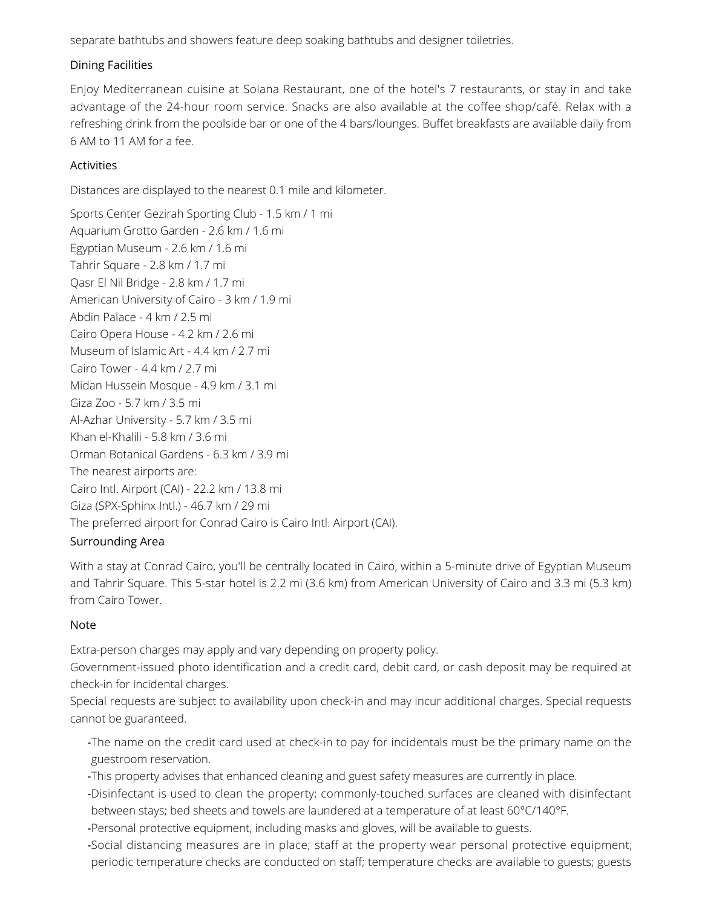separate bathtubs and showers feature deep soaking bathtubs and designer toiletries.

#### Dining Facilities

Enjoy Mediterranean cuisine at Solana Restaurant, one of the hotel's 7 restaurants, or stay in and take advantage of the 24-hour room service. Snacks are also available at the coffee shop/café. Relax with a refreshing drink from the poolside bar or one of the 4 bars/lounges. Buffet breakfasts are available daily from 6 AM to 11 AM for a fee.

#### **Activities**

Distances are displayed to the nearest 0.1 mile and kilometer.

Sports Center Gezirah Sporting Club - 1.5 km / 1 mi Aquarium Grotto Garden - 2.6 km / 1.6 mi Egyptian Museum - 2.6 km / 1.6 mi Tahrir Square - 2.8 km / 1.7 mi Qasr El Nil Bridge - 2.8 km / 1.7 mi American University of Cairo - 3 km / 1.9 mi Abdin Palace - 4 km / 2.5 mi Cairo Opera House - 4.2 km / 2.6 mi Museum of Islamic Art - 4.4 km / 2.7 mi Cairo Tower - 4.4 km / 2.7 mi Midan Hussein Mosque - 4.9 km / 3.1 mi Giza Zoo - 5.7 km / 3.5 mi Al-Azhar University - 5.7 km / 3.5 mi Khan el-Khalili - 5.8 km / 3.6 mi Orman Botanical Gardens - 6.3 km / 3.9 mi The nearest airports are: Cairo Intl. Airport (CAI) - 22.2 km / 13.8 mi Giza (SPX-Sphinx Intl.) - 46.7 km / 29 mi The preferred airport for Conrad Cairo is Cairo Intl. Airport (CAI). Surrounding Area

## With a stay at Conrad Cairo, you'll be centrally located in Cairo, within a 5-minute drive of Egyptian Museum and Tahrir Square. This 5-star hotel is 2.2 mi (3.6 km) from American University of Cairo and 3.3 mi (5.3 km) from Cairo Tower.

### Note

Extra-person charges may apply and vary depending on property policy.

Government-issued photo identification and a credit card, debit card, or cash deposit may be required at check-in for incidental charges.

Special requests are subject to availability upon check-in and may incur additional charges. Special requests cannot be guaranteed.

- -The name on the credit card used at check-in to pay for incidentals must be the primary name on the guestroom reservation.
- -This property advises that enhanced cleaning and guest safety measures are currently in place.
- -Disinfectant is used to clean the property; commonly-touched surfaces are cleaned with disinfectant between stays; bed sheets and towels are laundered at a temperature of at least 60°C/140°F.
- -Personal protective equipment, including masks and gloves, will be available to guests.
- -Social distancing measures are in place; staff at the property wear personal protective equipment; periodic temperature checks are conducted on staff; temperature checks are available to guests; guests